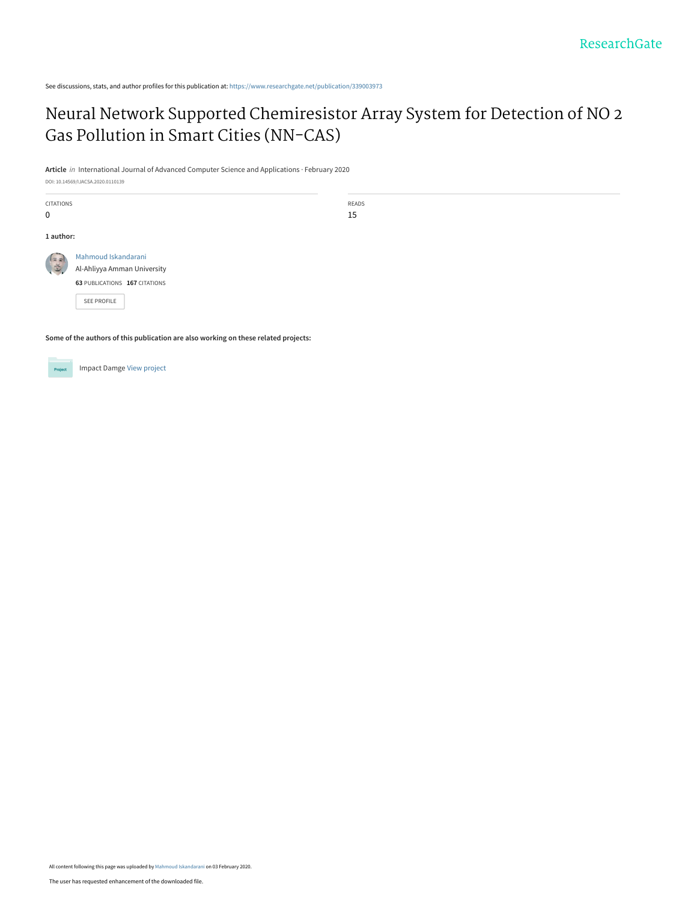See discussions, stats, and author profiles for this publication at: [https://www.researchgate.net/publication/339003973](https://www.researchgate.net/publication/339003973_Neural_Network_Supported_Chemiresistor_Array_System_for_Detection_of_NO_2_Gas_Pollution_in_Smart_Cities_NN-CAS?enrichId=rgreq-603d87a19ee30971a69fbdb638c3fc14-XXX&enrichSource=Y292ZXJQYWdlOzMzOTAwMzk3MztBUzo4NTQ1ODQyMDU1MjkwOTFAMTU4MDc2MDE2MDY0OA%3D%3D&el=1_x_2&_esc=publicationCoverPdf)

# [Neural Network Supported Chemiresistor Array System for Detection of NO 2](https://www.researchgate.net/publication/339003973_Neural_Network_Supported_Chemiresistor_Array_System_for_Detection_of_NO_2_Gas_Pollution_in_Smart_Cities_NN-CAS?enrichId=rgreq-603d87a19ee30971a69fbdb638c3fc14-XXX&enrichSource=Y292ZXJQYWdlOzMzOTAwMzk3MztBUzo4NTQ1ODQyMDU1MjkwOTFAMTU4MDc2MDE2MDY0OA%3D%3D&el=1_x_3&_esc=publicationCoverPdf) Gas Pollution in Smart Cities (NN-CAS)

READS 15

**Article** in International Journal of Advanced Computer Science and Applications · February 2020

DOI: 10.14569/IJACSA.2020.0110139

CITATIONS **1 author:** [Mahmoud Iskandarani](https://www.researchgate.net/profile/Mahmoud_Iskandarani?enrichId=rgreq-603d87a19ee30971a69fbdb638c3fc14-XXX&enrichSource=Y292ZXJQYWdlOzMzOTAwMzk3MztBUzo4NTQ1ODQyMDU1MjkwOTFAMTU4MDc2MDE2MDY0OA%3D%3D&el=1_x_5&_esc=publicationCoverPdf)  $(x)$ 当 [Al-Ahliyya Amman University](https://www.researchgate.net/institution/Al-Ahliyya_Amman_University?enrichId=rgreq-603d87a19ee30971a69fbdb638c3fc14-XXX&enrichSource=Y292ZXJQYWdlOzMzOTAwMzk3MztBUzo4NTQ1ODQyMDU1MjkwOTFAMTU4MDc2MDE2MDY0OA%3D%3D&el=1_x_6&_esc=publicationCoverPdf) **63** PUBLICATIONS **167** CITATIONS

[SEE PROFILE](https://www.researchgate.net/profile/Mahmoud_Iskandarani?enrichId=rgreq-603d87a19ee30971a69fbdb638c3fc14-XXX&enrichSource=Y292ZXJQYWdlOzMzOTAwMzk3MztBUzo4NTQ1ODQyMDU1MjkwOTFAMTU4MDc2MDE2MDY0OA%3D%3D&el=1_x_7&_esc=publicationCoverPdf)

**Some of the authors of this publication are also working on these related projects:**



0

Impact Damge [View project](https://www.researchgate.net/project/Impact-Damge?enrichId=rgreq-603d87a19ee30971a69fbdb638c3fc14-XXX&enrichSource=Y292ZXJQYWdlOzMzOTAwMzk3MztBUzo4NTQ1ODQyMDU1MjkwOTFAMTU4MDc2MDE2MDY0OA%3D%3D&el=1_x_9&_esc=publicationCoverPdf)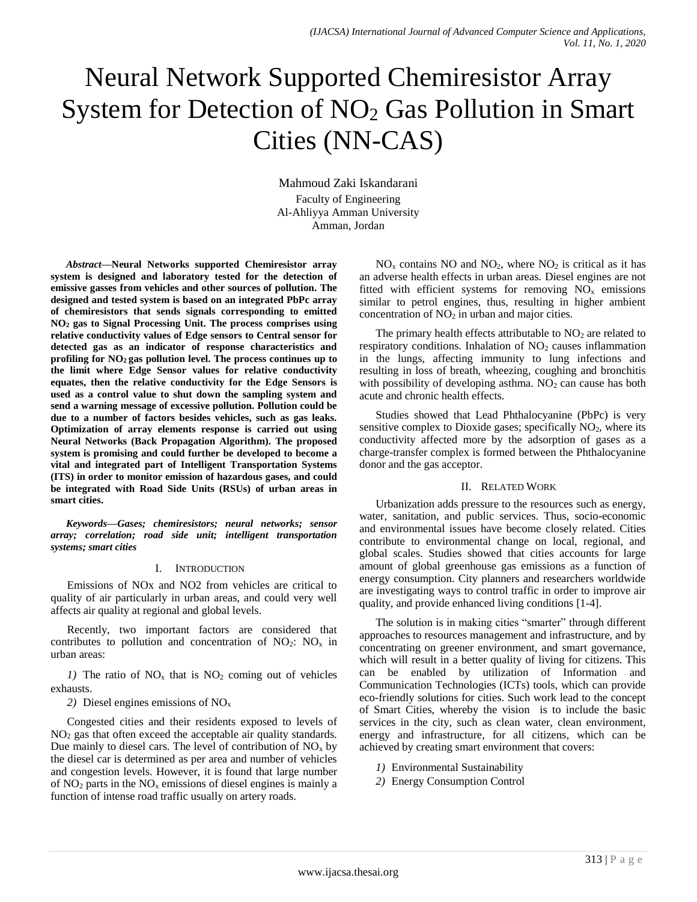# Neural Network Supported Chemiresistor Array System for Detection of NO<sub>2</sub> Gas Pollution in Smart Cities (NN-CAS)

Mahmoud Zaki Iskandarani Faculty of Engineering Al-Ahliyya Amman University Amman, Jordan

*Abstract***—Neural Networks supported Chemiresistor array system is designed and laboratory tested for the detection of emissive gasses from vehicles and other sources of pollution. The designed and tested system is based on an integrated PbPc array of chemiresistors that sends signals corresponding to emitted NO<sup>2</sup> gas to Signal Processing Unit. The process comprises using relative conductivity values of Edge sensors to Central sensor for detected gas as an indicator of response characteristics and profiling for NO<sup>2</sup> gas pollution level. The process continues up to the limit where Edge Sensor values for relative conductivity equates, then the relative conductivity for the Edge Sensors is used as a control value to shut down the sampling system and send a warning message of excessive pollution. Pollution could be due to a number of factors besides vehicles, such as gas leaks. Optimization of array elements response is carried out using Neural Networks (Back Propagation Algorithm). The proposed system is promising and could further be developed to become a vital and integrated part of Intelligent Transportation Systems (ITS) in order to monitor emission of hazardous gases, and could be integrated with Road Side Units (RSUs) of urban areas in smart cities.**

*Keywords—Gases; chemiresistors; neural networks; sensor array; correlation; road side unit; intelligent transportation systems; smart cities*

## I. INTRODUCTION

Emissions of NOx and NO2 from vehicles are critical to quality of air particularly in urban areas, and could very well affects air quality at regional and global levels.

Recently, two important factors are considered that contributes to pollution and concentration of  $NO_2$ :  $NO_x$  in urban areas:

*1)* The ratio of  $NO_x$  that is  $NO_2$  coming out of vehicles exhausts.

*2)* Diesel engines emissions of NO<sup>x</sup>

Congested cities and their residents exposed to levels of NO<sup>2</sup> gas that often exceed the acceptable air quality standards. Due mainly to diesel cars. The level of contribution of  $NO<sub>x</sub>$  by the diesel car is determined as per area and number of vehicles and congestion levels. However, it is found that large number of  $NO<sub>2</sub>$  parts in the  $NO<sub>x</sub>$  emissions of diesel engines is mainly a function of intense road traffic usually on artery roads.

 $NO<sub>x</sub>$  contains NO and NO<sub>2</sub>, where NO<sub>2</sub> is critical as it has an adverse health effects in urban areas. Diesel engines are not fitted with efficient systems for removing  $NO<sub>x</sub>$  emissions similar to petrol engines, thus, resulting in higher ambient concentration of  $NO<sub>2</sub>$  in urban and major cities.

The primary health effects attributable to  $NO<sub>2</sub>$  are related to respiratory conditions. Inhalation of  $NO<sub>2</sub>$  causes inflammation in the lungs, affecting immunity to lung infections and resulting in loss of breath, wheezing, coughing and bronchitis with possibility of developing asthma.  $NO<sub>2</sub>$  can cause has both acute and chronic health effects.

Studies showed that Lead Phthalocyanine (PbPc) is very sensitive complex to Dioxide gases; specifically  $NO<sub>2</sub>$ , where its conductivity affected more by the adsorption of gases as a charge-transfer complex is formed between the Phthalocyanine donor and the gas acceptor.

## II. RELATED WORK

Urbanization adds pressure to the resources such as energy, water, sanitation, and public services. Thus, socio-economic and environmental issues have become closely related. Cities contribute to environmental change on local, regional, and global scales. Studies showed that cities accounts for large amount of global greenhouse gas emissions as a function of energy consumption. City planners and researchers worldwide are investigating ways to control traffic in order to improve air quality, and provide enhanced living conditions [1-4].

The solution is in making cities "smarter" through different approaches to resources management and infrastructure, and by concentrating on greener environment, and smart governance, which will result in a better quality of living for citizens. This can be enabled by utilization of Information and Communication Technologies (ICTs) tools, which can provide eco-friendly solutions for cities. Such work lead to the concept of Smart Cities, whereby the vision is to include the basic services in the city, such as clean water, clean environment, energy and infrastructure, for all citizens, which can be achieved by creating smart environment that covers:

- *1)* Environmental Sustainability
- *2)* Energy Consumption Control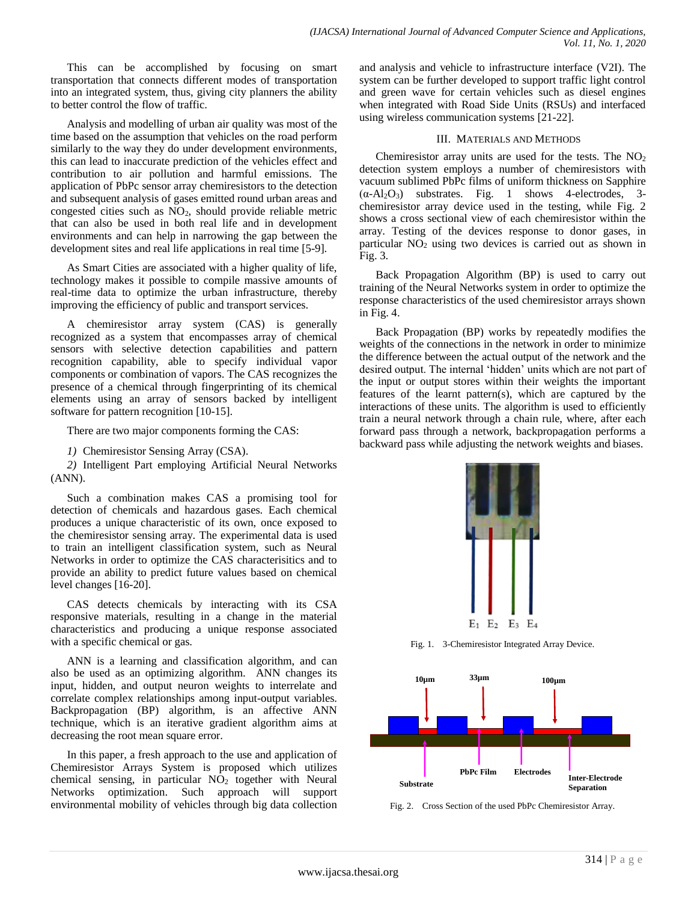This can be accomplished by focusing on smart transportation that connects different modes of transportation into an integrated system, thus, giving city planners the ability to better control the flow of traffic.

Analysis and modelling of urban air quality was most of the time based on the assumption that vehicles on the road perform similarly to the way they do under development environments, this can lead to inaccurate prediction of the vehicles effect and contribution to air pollution and harmful emissions. The application of PbPc sensor array chemiresistors to the detection and subsequent analysis of gases emitted round urban areas and congested cities such as NO2, should provide reliable metric that can also be used in both real life and in development environments and can help in narrowing the gap between the development sites and real life applications in real time [5-9].

As Smart Cities are associated with a higher quality of life, technology makes it possible to compile massive amounts of real-time data to optimize the urban infrastructure, thereby improving the efficiency of public and transport services.

A chemiresistor array system (CAS) is generally recognized as a system that encompasses array of chemical sensors with selective detection capabilities and pattern recognition capability, able to specify individual vapor components or combination of vapors. The CAS recognizes the presence of a chemical through fingerprinting of its chemical elements using an array of sensors backed by intelligent software for pattern recognition [10-15].

There are two major components forming the CAS:

*1)* Chemiresistor Sensing Array (CSA).

*2)* Intelligent Part employing Artificial Neural Networks (ANN).

Such a combination makes CAS a promising tool for detection of chemicals and hazardous gases. Each chemical produces a unique characteristic of its own, once exposed to the chemiresistor sensing array. The experimental data is used to train an intelligent classification system, such as Neural Networks in order to optimize the CAS characterisitics and to provide an ability to predict future values based on chemical level changes [16-20].

CAS detects chemicals by interacting with its CSA responsive materials, resulting in a change in the material characteristics and producing a unique response associated with a specific chemical or gas.

ANN is a learning and classification algorithm, and can also be used as an optimizing algorithm. ANN changes its input, hidden, and output neuron weights to interrelate and correlate complex relationships among input-output variables. Backpropagation (BP) algorithm, is an affective ANN technique, which is an iterative gradient algorithm aims at decreasing the root mean square error.

In this paper, a fresh approach to the use and application of Chemiresistor Arrays System is proposed which utilizes chemical sensing, in particular  $NO<sub>2</sub>$  together with Neural Networks optimization. Such approach will support environmental mobility of vehicles through big data collection

and analysis and vehicle to infrastructure interface (V2I). The system can be further developed to support traffic light control and green wave for certain vehicles such as diesel engines when integrated with Road Side Units (RSUs) and interfaced using wireless communication systems [21-22].

## III. MATERIALS AND METHODS

Chemiresistor array units are used for the tests. The  $NO<sub>2</sub>$ detection system employs a number of chemiresistors with vacuum sublimed PbPc films of uniform thickness on Sapphire  $(\alpha - Al_2O_3)$  substrates. Fig. 1 shows 4-electrodes, 3chemiresistor array device used in the testing, while Fig. 2 shows a cross sectional view of each chemiresistor within the array. Testing of the devices response to donor gases, in particular NO<sup>2</sup> using two devices is carried out as shown in Fig. 3.

Back Propagation Algorithm (BP) is used to carry out training of the Neural Networks system in order to optimize the response characteristics of the used chemiresistor arrays shown in Fig. 4.

Back Propagation (BP) works by repeatedly modifies the weights of the connections in the network in order to minimize the difference between the actual output of the network and the desired output. The internal 'hidden' units which are not part of the input or output stores within their weights the important features of the learnt pattern(s), which are captured by the interactions of these units. The algorithm is used to efficiently train a neural network through a chain rule, where, after each forward pass through a network, backpropagation performs a backward pass while adjusting the network weights and biases.



Fig. 1. 3-Chemiresistor Integrated Array Device.



Fig. 2. Cross Section of the used PbPc Chemiresistor Array.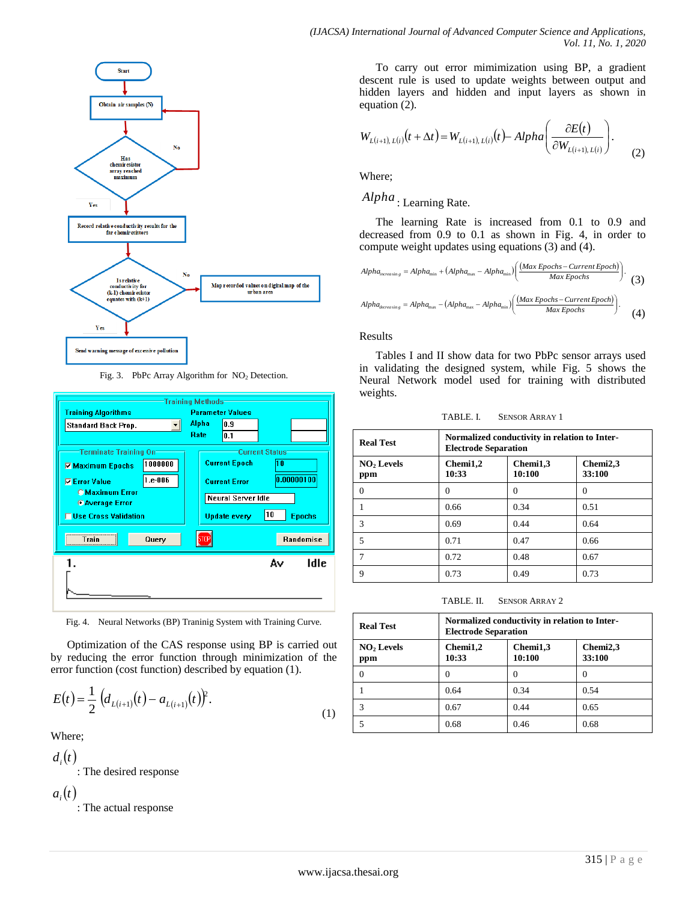

Fig. 3. PbPc Array Algorithm for NO<sub>2</sub> Detection.



Fig. 4. Neural Networks (BP) Traninig System with Training Curve.

Optimization of the CAS response using BP is carried out by reducing the error function through minimization of the error function (cost function) described by equation (1).

$$
E(t) = \frac{1}{2} \left( d_{L(i+1)}(t) - a_{L(i+1)}(t) \right)^2.
$$
 (1)

Where;

 $d_{i}(t)$ : The desired response  $a_i(t)$ 

: The actual response

To carry out error mimimization using BP, a gradient descent rule is used to update weights between output and hidden layers and hidden and input layers as shown in equation (2).

$$
W_{L(i+1), L(i)}(t+\Delta t) = W_{L(i+1), L(i)}(t) - Alpha\left(\frac{\partial E(t)}{\partial W_{L(i+1), L(i)}}\right). \tag{2}
$$

Where;

*Alpha* : Learning Rate.

The learning Rate is increased from 0.1 to 0.9 and decreased from 0.9 to 0.1 as shown in Fig. 4, in order to compute weight updates using equations (3) and (4).

$$
Alpha_{\text{increasing}} = Alpha_{\text{min}} + (Alpha_{\text{max}} - Alpha_{\text{min}}) \left( \frac{(Max\,Epochs - Current\,Epoch)}{Max\,Epochs} \right). \tag{3}
$$

$$
Alpha_{decreasing} = Alpha_{max} - (Alpha_{max} - Alpha_{min}) \left( \frac{(Max\,Epochs - Current\,Epoch)}{Max\,Epochs} \right). \tag{4}
$$

#### Results

Tables I and II show data for two PbPc sensor arrays used in validating the designed system, while Fig. 5 shows the Neural Network model used for training with distributed weights.

| TABLE. L | <b>SENSOR ARRAY 1</b> |
|----------|-----------------------|
|----------|-----------------------|

| <b>Real Test</b>              | Normalized conductivity in relation to Inter-<br><b>Electrode Separation</b> |                    |          |  |
|-------------------------------|------------------------------------------------------------------------------|--------------------|----------|--|
| NO <sub>2</sub> Levels<br>ppm | Chemi1,2<br>10:33                                                            | Chemi2,3<br>33:100 |          |  |
|                               | $\theta$                                                                     | $\theta$           | $\Omega$ |  |
|                               | 0.66                                                                         | 0.34               | 0.51     |  |
| 3                             | 0.69                                                                         | 0.44               | 0.64     |  |
| 5                             | 0.71                                                                         | 0.47               | 0.66     |  |
|                               | 0.72                                                                         | 0.48               | 0.67     |  |
| 9                             | 0.73                                                                         | 0.49               | 0.73     |  |

TABLE. II. SENSOR ARRAY 2

| <b>Real Test</b>              | Normalized conductivity in relation to Inter-<br><b>Electrode Separation</b> |                    |                    |
|-------------------------------|------------------------------------------------------------------------------|--------------------|--------------------|
| NO <sub>2</sub> Levels<br>ppm | Chemi1,2<br>10:33                                                            | Chemi1,3<br>10:100 | Chemi2,3<br>33:100 |
| 0                             | 0                                                                            | $\theta$           | O                  |
|                               | 0.64                                                                         | 0.34               | 0.54               |
| 3                             | 0.67                                                                         | 0.44               | 0.65               |
|                               | 0.68                                                                         | 0.46               | 0.68               |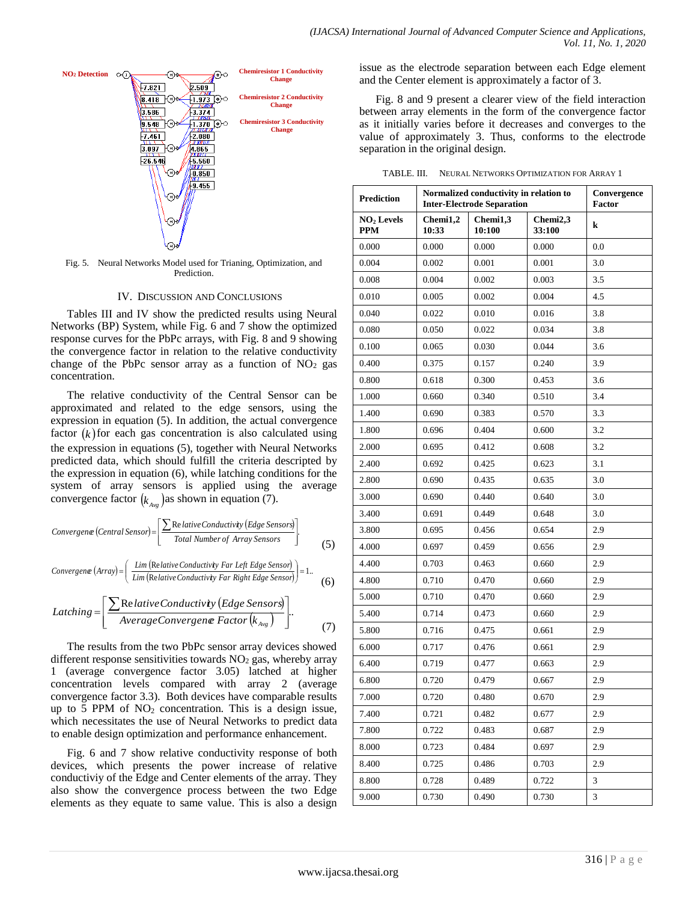

Fig. 5. Neural Networks Model used for Trianing, Optimization, and Prediction.

#### IV. DISCUSSION AND CONCLUSIONS

Tables III and IV show the predicted results using Neural Networks (BP) System, while Fig. 6 and 7 show the optimized response curves for the PbPc arrays, with Fig. 8 and 9 showing the convergence factor in relation to the relative conductivity change of the PbPc sensor array as a function of  $NO<sub>2</sub>$  gas concentration.

The relative conductivity of the Central Sensor can be approximated and related to the edge sensors, using the expression in equation (5). In addition, the actual convergence factor  $(k)$  for each gas concentration is also calculated using the expression in equations (5), together with Neural Networks predicted data, which should fulfill the criteria descripted by the expression in equation (6), while latching conditions for the system of array sensors is applied using the average convergence factor  $(k_{Avg})$  as shown in equation (7).

$$
Convergence (Central Gensor) = \left[ \frac{\sum \text{Re} \text{lative Conductivity} (Edge Sensors)}{\text{Total Number of Array Sensors}} \right].
$$
 (5)

$$
Convergence (Array) = \left(\frac{Lim (Relative Conductivity Far Left Edge Sensor)}{Lim (Relative Conductivity Far Right Edge Sensor)}\right) = 1.
$$
 (6)

$$
Latching = \left[ \frac{\sum Relative Conductivity (Edge Sensors)}{Average Convergence Factor (k_{Avg})} \right].
$$
 (7)

The results from the two PbPc sensor array devices showed different response sensitivities towards  $NO<sub>2</sub>$  gas, whereby array 1 (average convergence factor 3.05) latched at higher concentration levels compared with array 2 (average convergence factor 3.3). Both devices have comparable results up to 5 PPM of  $NO<sub>2</sub>$  concentration. This is a design issue, which necessitates the use of Neural Networks to predict data to enable design optimization and performance enhancement.

Fig. 6 and 7 show relative conductivity response of both devices, which presents the power increase of relative conductiviy of the Edge and Center elements of the array. They also show the convergence process between the two Edge elements as they equate to same value. This is also a design issue as the electrode separation between each Edge element and the Center element is approximately a factor of 3.

Fig. 8 and 9 present a clearer view of the field interaction between array elements in the form of the convergence factor as it initially varies before it decreases and converges to the value of approximately 3. Thus, conforms to the electrode separation in the original design.

TABLE. III. NEURAL NETWORKS OPTIMIZATION FOR ARRAY 1

| <b>Prediction</b>                    | Normalized conductivity in relation to<br><b>Inter-Electrode Separation</b> |                    |                    | Convergence<br><b>Factor</b> |
|--------------------------------------|-----------------------------------------------------------------------------|--------------------|--------------------|------------------------------|
| NO <sub>2</sub> Levels<br><b>PPM</b> | Chemi1,2<br>10:33                                                           | Chemi1,3<br>10:100 | Chemi2,3<br>33:100 | k                            |
| 0.000                                | 0.000                                                                       | 0.000              | 0.000              | 0.0                          |
| 0.004                                | 0.002                                                                       | 0.001              | 0.001              | 3.0                          |
| 0.008                                | 0.004                                                                       | 0.002              | 0.003              | 3.5                          |
| 0.010                                | 0.005                                                                       | 0.002              | 0.004              | 4.5                          |
| 0.040                                | 0.022                                                                       | 0.010              | 0.016              | 3.8                          |
| 0.080                                | 0.050                                                                       | 0.022              | 0.034              | 3.8                          |
| 0.100                                | 0.065                                                                       | 0.030              | 0.044              | 3.6                          |
| 0.400                                | 0.375                                                                       | 0.157              | 0.240              | 3.9                          |
| 0.800                                | 0.618                                                                       | 0.300              | 0.453              | 3.6                          |
| 1.000                                | 0.660                                                                       | 0.340              | 0.510              | 3.4                          |
| 1.400                                | 0.690                                                                       | 0.383              | 0.570              | 3.3                          |
| 1.800                                | 0.696                                                                       | 0.404              | 0.600              | 3.2                          |
| 2.000                                | 0.695                                                                       | 0.412              | 0.608              | 3.2                          |
| 2.400                                | 0.692                                                                       | 0.425              | 0.623              | 3.1                          |
| 2.800                                | 0.690                                                                       | 0.435              | 0.635              | 3.0                          |
| 3.000                                | 0.690                                                                       | 0.440              | 0.640              | 3.0                          |
| 3.400                                | 0.691                                                                       | 0.449              | 0.648              | 3.0                          |
| 3.800                                | 0.695                                                                       | 0.456              | 0.654              | 2.9                          |
| 4.000                                | 0.697                                                                       | 0.459              | 0.656              | 2.9                          |
| 4.400                                | 0.703                                                                       | 0.463              | 0.660              | 2.9                          |
| 4.800                                | 0.710                                                                       | 0.470              | 0.660              | 2.9                          |
| 5.000                                | 0.710                                                                       | 0.470              | 0.660              | 2.9                          |
| 5.400                                | 0.714                                                                       | 0.473              | 0.660              | 2.9                          |
| 5.800                                | 0.716                                                                       | 0.475              | 0.661              | 2.9                          |
| 6.000                                | 0.717                                                                       | 0.476              | 0.661              | 2.9                          |
| 6.400                                | 0.719                                                                       | 0.477              | 0.663              | 2.9                          |
| 6.800                                | 0.720                                                                       | 0.479              | 0.667              | 2.9                          |
| 7.000                                | 0.720                                                                       | 0.480              | 0.670              | 2.9                          |
| 7.400                                | 0.721                                                                       | 0.482              | 0.677              | 2.9                          |
| 7.800                                | 0.722                                                                       | 0.483              | 0.687              | 2.9                          |
| 8.000                                | 0.723                                                                       | 0.484              | 0.697              | 2.9                          |
| 8.400                                | 0.725                                                                       | 0.486              | 0.703              | 2.9                          |
| 8.800                                | 0.728                                                                       | 0.489              | 0.722              | 3                            |
| 9.000                                | 0.730                                                                       | 0.490              | 0.730              | 3                            |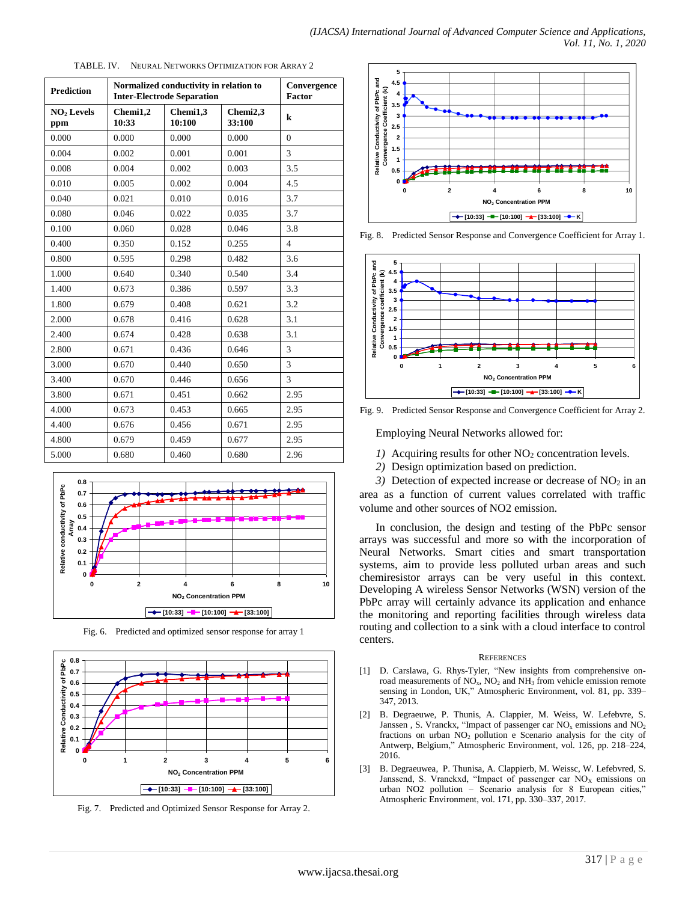| <b>Prediction</b>             | Normalized conductivity in relation to<br><b>Inter-Electrode Separation</b> |                    |                    | Convergence<br><b>Factor</b> |
|-------------------------------|-----------------------------------------------------------------------------|--------------------|--------------------|------------------------------|
| NO <sub>2</sub> Levels<br>ppm | Chemi1,2<br>10:33                                                           | Chemi1,3<br>10:100 | Chemi2,3<br>33:100 | $\bf k$                      |
| 0.000                         | 0.000                                                                       | 0.000              | 0.000              | $\theta$                     |
| 0.004                         | 0.002                                                                       | 0.001              | 0.001              | 3                            |
| 0.008                         | 0.004                                                                       | 0.002              | 0.003              | 3.5                          |
| 0.010                         | 0.005                                                                       | 0.002              | 0.004              | 4.5                          |
| 0.040                         | 0.021                                                                       | 0.010              | 0.016              | 3.7                          |
| 0.080                         | 0.046                                                                       | 0.022              | 0.035              | 3.7                          |
| 0.100                         | 0.060                                                                       | 0.028              | 0.046              | 3.8                          |
| 0.400                         | 0.350                                                                       | 0.152              | 0.255              | $\overline{4}$               |
| 0.800                         | 0.595                                                                       | 0.298              | 0.482              | 3.6                          |
| 1.000                         | 0.640                                                                       | 0.340              | 0.540              | 3.4                          |
| 1.400                         | 0.673                                                                       | 0.386              | 0.597              | 3.3                          |
| 1.800                         | 0.679                                                                       | 0.408              | 0.621              | 3.2                          |
| 2.000                         | 0.678                                                                       | 0.416              | 0.628              | 3.1                          |
| 2.400                         | 0.674                                                                       | 0.428              | 0.638              | 3.1                          |
| 2.800                         | 0.671                                                                       | 0.436              | 0.646              | 3                            |
| 3.000                         | 0.670                                                                       | 0.440              | 0.650              | 3                            |
| 3.400                         | 0.670                                                                       | 0.446              | 0.656              | 3                            |
| 3.800                         | 0.671                                                                       | 0.451              | 0.662              | 2.95                         |
| 4.000                         | 0.673                                                                       | 0.453              | 0.665              | 2.95                         |
| 4.400                         | 0.676                                                                       | 0.456              | 0.671              | 2.95                         |
| 4.800                         | 0.679                                                                       | 0.459              | 0.677              | 2.95                         |
| 5.000                         | 0.680                                                                       | 0.460              | 0.680              | 2.96                         |





Fig. 6. Predicted and optimized sensor response for array 1



Fig. 7. Predicted and Optimized Sensor Response for Array 2.



Fig. 8. Predicted Sensor Response and Convergence Coefficient for Array 1.



Fig. 9. Predicted Sensor Response and Convergence Coefficient for Array 2.

Employing Neural Networks allowed for:

- *1*) Acquiring results for other NO<sub>2</sub> concentration levels.
- *2)* Design optimization based on prediction.

*3*) Detection of expected increase or decrease of  $NO<sub>2</sub>$  in an area as a function of current values correlated with traffic volume and other sources of NO2 emission.

In conclusion, the design and testing of the PbPc sensor arrays was successful and more so with the incorporation of Neural Networks. Smart cities and smart transportation systems, aim to provide less polluted urban areas and such chemiresistor arrays can be very useful in this context. Developing A wireless Sensor Networks (WSN) version of the PbPc array will certainly advance its application and enhance the monitoring and reporting facilities through wireless data routing and collection to a sink with a cloud interface to control centers.

#### **REFERENCES**

- [1] D. Carslawa, G. Rhys-Tyler, "New insights from comprehensive onroad measurements of NO<sub>x</sub>, NO<sub>2</sub> and NH<sub>3</sub> from vehicle emission remote sensing in London, UK," Atmospheric Environment, vol. 81, pp. 339– 347, 2013.
- [2] B. Degraeuwe, P. Thunis, A. Clappier, M. Weiss, W. Lefebvre, S. Janssen, S. Vranckx, "Impact of passenger car  $NO<sub>x</sub>$  emissions and  $NO<sub>2</sub>$ fractions on urban NO<sup>2</sup> pollution e Scenario analysis for the city of Antwerp, Belgium," Atmospheric Environment, vol. 126, pp. 218–224, 2016.
- [3] B. Degraeuwea, P. Thunisa, A. Clappierb, M. Weissc, W. Lefebvred, S. Janssend, S. Vranckxd, "Impact of passenger car  $NO<sub>X</sub>$  emissions on urban NO2 pollution – Scenario analysis for 8 European cities," Atmospheric Environment, vol. 171, pp. 330–337, 2017.